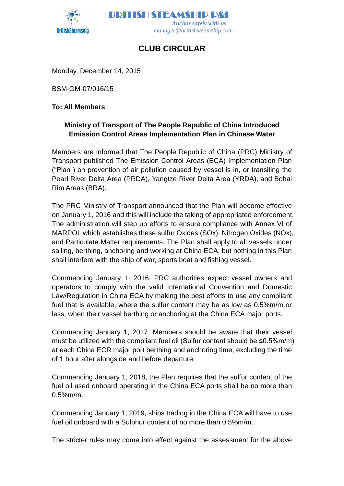

BRITISH STEAMSHIP P&I  *Anchor safely with us manager@britishsteamship.com*

## **CLUB CIRCULAR**

Monday, December 14, 2015

BSM-GM-07/016/15

## **To: All Members**

## **Ministry of Transport of The People Republic of China Introduced Emission Control Areas Implementation Plan in Chinese Water**

Members are informed that The People Republic of China (PRC) Ministry of Transport published The Emission Control Areas (ECA) Implementation Plan ("Plan") on prevention of air pollution caused by vessel is in, or transiting the Pearl River Delta Area (PRDA), Yangtze River Delta Area (YRDA), and Bohai Rim Areas (BRA).

The PRC Ministry of Transport announced that the Plan will become effective on January 1, 2016 and this will include the taking of appropriated enforcement. The administration will step up efforts to ensure compliance with Annex VI of MARPOL which establishes these sulfur Oxides (SOx), Nitrogen Oxides (NOx), and Particulate Matter requirements. The Plan shall apply to all vessels under sailing, berthing, anchoring and working at China ECA, but nothing in this Plan shall interfere with the ship of war, sports boat and fishing vessel.

Commencing January 1, 2016, PRC authorities expect vessel owners and operators to comply with the valid International Convention and Domestic Law/Regulation in China ECA by making the best efforts to use any compliant fuel that is available, where the sulfur content may be as low as 0.5%m/m or less, when their vessel berthing or anchoring at the China ECA major ports.

Commencing January 1, 2017, Members should be aware that their vessel must be utilized with the compliant fuel oil (Sulfur content should be ≤0.5%m/m) at each China ECR major port berthing and anchoring time, excluding the time of 1 hour after alongside and before departure.

Commencing January 1, 2018, the Plan requires that the sulfur content of the fuel oil used onboard operating in the China ECA ports shall be no more than 0.5%m/m.

Commencing January 1, 2019, ships trading in the China ECA will have to use fuel oil onboard with a Sulphur content of no more than 0.5%m/m.

The stricter rules may come into effect against the assessment for the above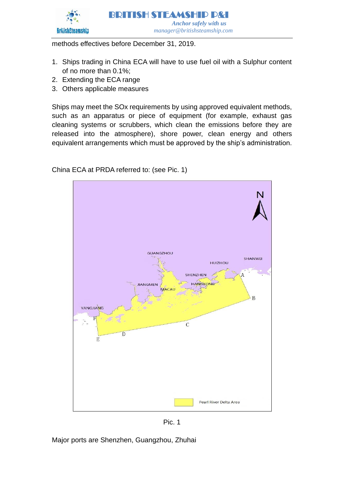

methods effectives before December 31, 2019.

- 1. Ships trading in China ECA will have to use fuel oil with a Sulphur content of no more than 0.1%;
- 2. Extending the ECA range
- 3. Others applicable measures

Ships may meet the SOx requirements by using approved equivalent methods, such as an apparatus or piece of equipment (for example, exhaust gas cleaning systems or scrubbers, which clean the emissions before they are released into the atmosphere), shore power, clean energy and others equivalent arrangements which must be approved by the ship's administration.

China ECA at PRDA referred to: (see Pic. 1)



Pic. 1

Major ports are Shenzhen, Guangzhou, Zhuhai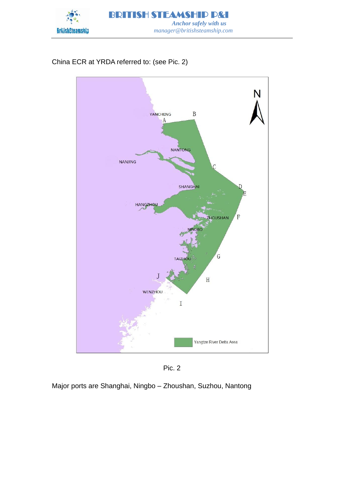

China ECR at YRDA referred to: (see Pic. 2)





Major ports are Shanghai, Ningbo – Zhoushan, Suzhou, Nantong